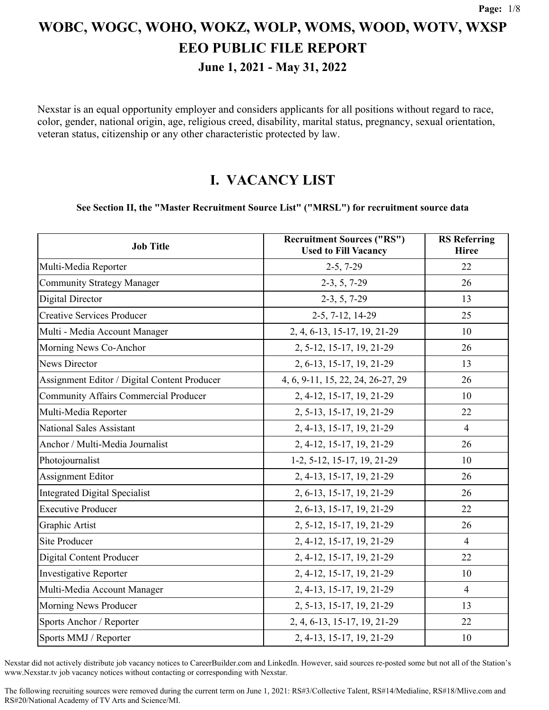**June 1, 2021 - May 31, 2022**

Nexstar is an equal opportunity employer and considers applicants for all positions without regard to race, color, gender, national origin, age, religious creed, disability, marital status, pregnancy, sexual orientation, veteran status, citizenship or any other characteristic protected by law.

### **I. VACANCY LIST**

#### **See Section II, the "Master Recruitment Source List" ("MRSL") for recruitment source data**

| <b>Job Title</b>                             | <b>Recruitment Sources ("RS")</b><br><b>Used to Fill Vacancy</b> | <b>RS</b> Referring<br><b>Hiree</b> |
|----------------------------------------------|------------------------------------------------------------------|-------------------------------------|
| Multi-Media Reporter                         | $2-5, 7-29$                                                      | 22                                  |
| <b>Community Strategy Manager</b>            | $2-3, 5, 7-29$                                                   | 26                                  |
| <b>Digital Director</b>                      | $2-3, 5, 7-29$                                                   | 13                                  |
| <b>Creative Services Producer</b>            | 2-5, 7-12, 14-29                                                 | 25                                  |
| Multi - Media Account Manager                | 2, 4, 6-13, 15-17, 19, 21-29                                     | 10                                  |
| Morning News Co-Anchor                       | 2, 5-12, 15-17, 19, 21-29                                        | 26                                  |
| <b>News Director</b>                         | 2, 6-13, 15-17, 19, 21-29                                        | 13                                  |
| Assignment Editor / Digital Content Producer | 4, 6, 9-11, 15, 22, 24, 26-27, 29                                | 26                                  |
| <b>Community Affairs Commercial Producer</b> | 2, 4-12, 15-17, 19, 21-29                                        | 10                                  |
| Multi-Media Reporter                         | 2, 5-13, 15-17, 19, 21-29                                        | 22                                  |
| <b>National Sales Assistant</b>              | 2, 4-13, 15-17, 19, 21-29                                        | $\overline{4}$                      |
| Anchor / Multi-Media Journalist              | 2, 4-12, 15-17, 19, 21-29                                        | 26                                  |
| Photojournalist                              | 1-2, 5-12, 15-17, 19, 21-29                                      | 10                                  |
| Assignment Editor                            | 2, 4-13, 15-17, 19, 21-29                                        | 26                                  |
| <b>Integrated Digital Specialist</b>         | 2, 6-13, 15-17, 19, 21-29                                        | 26                                  |
| <b>Executive Producer</b>                    | 2, 6-13, 15-17, 19, 21-29                                        | 22                                  |
| Graphic Artist                               | 2, 5-12, 15-17, 19, 21-29                                        | 26                                  |
| <b>Site Producer</b>                         | 2, 4-12, 15-17, 19, 21-29                                        | $\overline{4}$                      |
| <b>Digital Content Producer</b>              | 2, 4-12, 15-17, 19, 21-29                                        | 22                                  |
| <b>Investigative Reporter</b>                | 2, 4-12, 15-17, 19, 21-29                                        | 10                                  |
| Multi-Media Account Manager                  | 2, 4-13, 15-17, 19, 21-29                                        | $\overline{4}$                      |
| Morning News Producer                        | 2, 5-13, 15-17, 19, 21-29                                        | 13                                  |
| Sports Anchor / Reporter                     | 2, 4, 6-13, 15-17, 19, 21-29                                     | 22                                  |
| Sports MMJ / Reporter                        | 2, 4-13, 15-17, 19, 21-29                                        | 10                                  |

Nexstar did not actively distribute job vacancy notices to CareerBuilder.com and LinkedIn. However, said sources re-posted some but not all of the Station's www.Nexstar.tv job vacancy notices without contacting or corresponding with Nexstar.

The following recruiting sources were removed during the current term on June 1, 2021: RS#3/Collective Talent, RS#14/Medialine, RS#18/Mlive.com and RS#20/National Academy of TV Arts and Science/MI.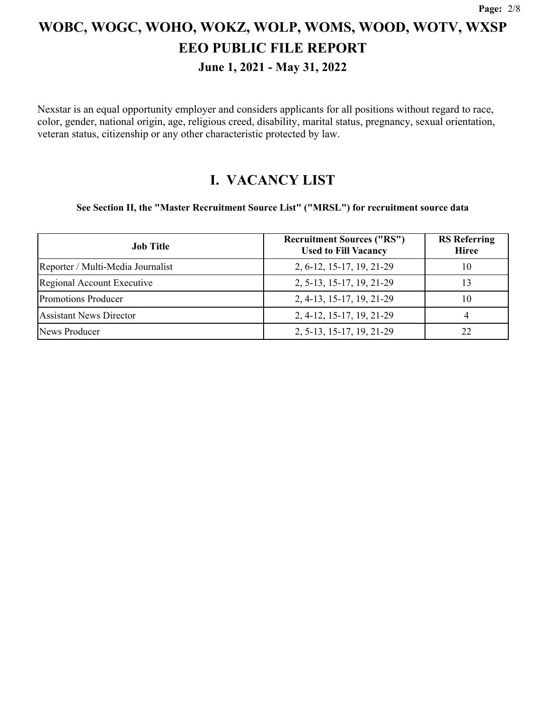**June 1, 2021 - May 31, 2022**

Nexstar is an equal opportunity employer and considers applicants for all positions without regard to race, color, gender, national origin, age, religious creed, disability, marital status, pregnancy, sexual orientation, veteran status, citizenship or any other characteristic protected by law.

### **I. VACANCY LIST**

**See Section II, the "Master Recruitment Source List" ("MRSL") for recruitment source data**

| <b>Job Title</b>                  | <b>Recruitment Sources ("RS")</b><br><b>Used to Fill Vacancy</b> | <b>RS</b> Referring<br><b>Hiree</b> |
|-----------------------------------|------------------------------------------------------------------|-------------------------------------|
| Reporter / Multi-Media Journalist | 2, 6-12, 15-17, 19, 21-29                                        | 10                                  |
| Regional Account Executive        | 2, 5-13, 15-17, 19, 21-29                                        | 13                                  |
| <b>Promotions Producer</b>        | 2, 4-13, 15-17, 19, 21-29                                        | 10                                  |
| <b>Assistant News Director</b>    | 2, 4-12, 15-17, 19, 21-29                                        | 4                                   |
| News Producer                     | 2, 5-13, 15-17, 19, 21-29                                        | 22                                  |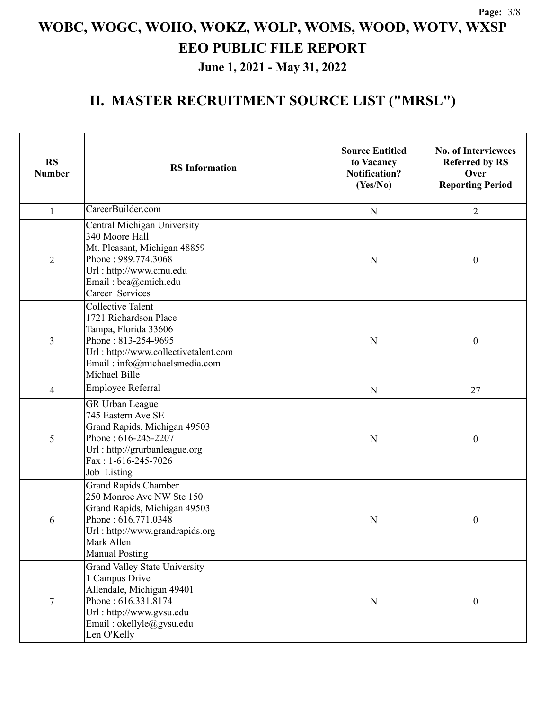**June 1, 2021 - May 31, 2022**

| <b>RS</b><br><b>Number</b> | <b>RS</b> Information                                                                                                                                                                      | <b>Source Entitled</b><br>to Vacancy<br><b>Notification?</b><br>(Yes/No) | <b>No. of Interviewees</b><br><b>Referred by RS</b><br>Over<br><b>Reporting Period</b> |
|----------------------------|--------------------------------------------------------------------------------------------------------------------------------------------------------------------------------------------|--------------------------------------------------------------------------|----------------------------------------------------------------------------------------|
| $\mathbf{1}$               | CareerBuilder.com                                                                                                                                                                          | ${\bf N}$                                                                | $\overline{2}$                                                                         |
| $\overline{2}$             | Central Michigan University<br>340 Moore Hall<br>Mt. Pleasant, Michigan 48859<br>Phone: 989.774.3068<br>Url: http://www.cmu.edu<br>Email: bca@cmich.edu<br>Career Services                 | N                                                                        | $\boldsymbol{0}$                                                                       |
| 3                          | <b>Collective Talent</b><br>1721 Richardson Place<br>Tampa, Florida 33606<br>Phone: 813-254-9695<br>Url: http://www.collectivetalent.com<br>Email: info@michaelsmedia.com<br>Michael Bille |                                                                          | $\boldsymbol{0}$                                                                       |
| $\overline{4}$             | Employee Referral                                                                                                                                                                          | ${\bf N}$                                                                | 27                                                                                     |
| 5                          | GR Urban League<br>745 Eastern Ave SE<br>Grand Rapids, Michigan 49503<br>Phone: 616-245-2207<br>Url: http://grurbanleague.org<br>Fax: 1-616-245-7026<br>Job Listing                        | N                                                                        | $\boldsymbol{0}$                                                                       |
| 6                          | <b>Grand Rapids Chamber</b><br>250 Monroe Ave NW Ste 150<br>Grand Rapids, Michigan 49503<br>Phone: 616.771.0348<br>Url: http://www.grandrapids.org<br>Mark Allen<br><b>Manual Posting</b>  | N                                                                        | $\boldsymbol{0}$                                                                       |
| 7                          | <b>Grand Valley State University</b><br>1 Campus Drive<br>Allendale, Michigan 49401<br>Phone: 616.331.8174<br>Url: http://www.gvsu.edu<br>Email: okellyle@gvsu.edu<br>Len O'Kelly          | ${\bf N}$                                                                | $\boldsymbol{0}$                                                                       |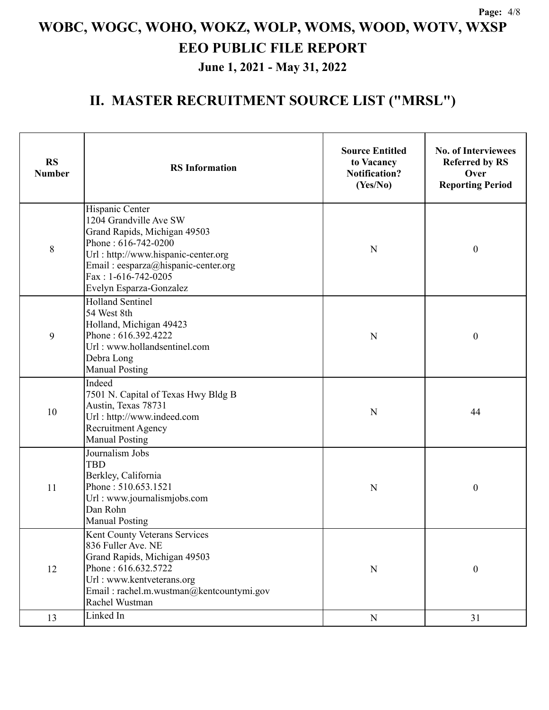**June 1, 2021 - May 31, 2022**

| <b>RS</b><br><b>Number</b> | <b>RS</b> Information                                                                                                                                                                                                              | <b>Source Entitled</b><br>to Vacancy<br><b>Notification?</b><br>(Yes/No) | <b>No. of Interviewees</b><br><b>Referred by RS</b><br>Over<br><b>Reporting Period</b> |  |
|----------------------------|------------------------------------------------------------------------------------------------------------------------------------------------------------------------------------------------------------------------------------|--------------------------------------------------------------------------|----------------------------------------------------------------------------------------|--|
| 8                          | Hispanic Center<br>1204 Grandville Ave SW<br>Grand Rapids, Michigan 49503<br>Phone: $616-742-0200$<br>Url: http://www.hispanic-center.org<br>Email: eesparza@hispanic-center.org<br>Fax: 1-616-742-0205<br>Evelyn Esparza-Gonzalez | N                                                                        | $\boldsymbol{0}$                                                                       |  |
| 9                          | <b>Holland Sentinel</b><br>54 West 8th<br>Holland, Michigan 49423<br>Phone: 616.392.4222<br>Url: www.hollandsentinel.com<br>Debra Long<br><b>Manual Posting</b>                                                                    | N                                                                        | $\boldsymbol{0}$                                                                       |  |
| 10                         | Indeed<br>7501 N. Capital of Texas Hwy Bldg B<br>Austin, Texas 78731<br>Url: http://www.indeed.com<br><b>Recruitment Agency</b><br><b>Manual Posting</b>                                                                           | N                                                                        | 44                                                                                     |  |
| 11                         | Journalism Jobs<br><b>TBD</b><br>Berkley, California<br>Phone: 510.653.1521<br>Url: www.journalismjobs.com<br>Dan Rohn<br><b>Manual Posting</b>                                                                                    | N                                                                        | $\boldsymbol{0}$                                                                       |  |
| 12                         | Kent County Veterans Services<br>836 Fuller Ave. NE<br>Grand Rapids, Michigan 49503<br>Phone: 616.632.5722<br>Url: www.kentveterans.org<br>Email: rachel.m.wustman@kentcountymi.gov<br>Rachel Wustman                              | ${\bf N}$                                                                | $\boldsymbol{0}$                                                                       |  |
| 13                         | Linked In                                                                                                                                                                                                                          | ${\bf N}$                                                                | 31                                                                                     |  |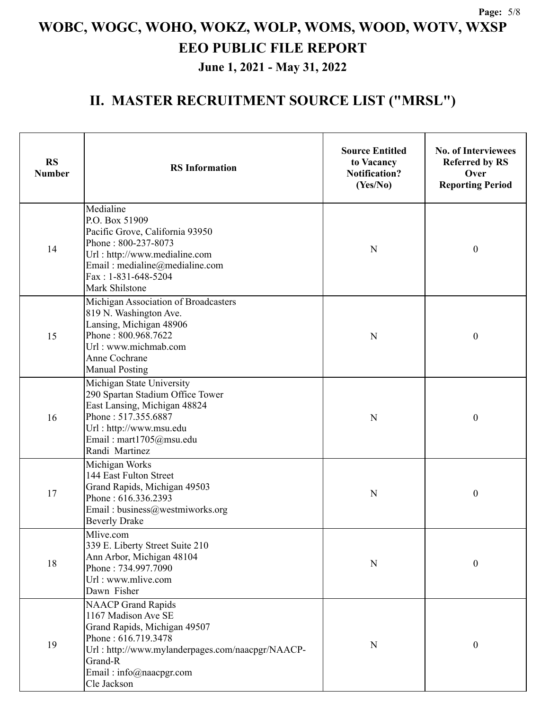**June 1, 2021 - May 31, 2022**

| <b>RS</b><br><b>Number</b> | <b>RS</b> Information                                                                                                                                                                                     | <b>Source Entitled</b><br>to Vacancy<br><b>Notification?</b><br>(Yes/No) | <b>No. of Interviewees</b><br><b>Referred by RS</b><br>Over<br><b>Reporting Period</b> |
|----------------------------|-----------------------------------------------------------------------------------------------------------------------------------------------------------------------------------------------------------|--------------------------------------------------------------------------|----------------------------------------------------------------------------------------|
| 14                         | Medialine<br>P.O. Box 51909<br>Pacific Grove, California 93950<br>Phone: 800-237-8073<br>Url: http://www.medialine.com<br>Email: medialine@medialine.com<br>Fax: 1-831-648-5204<br>Mark Shilstone         | N                                                                        | $\boldsymbol{0}$                                                                       |
| 15                         | Michigan Association of Broadcasters<br>819 N. Washington Ave.<br>Lansing, Michigan 48906<br>Phone: 800.968.7622<br>Url: www.michmab.com<br>Anne Cochrane<br><b>Manual Posting</b>                        | $\mathbf N$                                                              | $\boldsymbol{0}$                                                                       |
| 16                         | Michigan State University<br>290 Spartan Stadium Office Tower<br>East Lansing, Michigan 48824<br>Phone: 517.355.6887<br>Url: http://www.msu.edu<br>Email: mart1705@msu.edu<br>Randi Martinez              |                                                                          | $\boldsymbol{0}$                                                                       |
| 17                         | Michigan Works<br>144 East Fulton Street<br>Grand Rapids, Michigan 49503<br>Phone: 616.336.2393<br>Email: business@westmiworks.org<br><b>Beverly Drake</b>                                                | N                                                                        | $\boldsymbol{0}$                                                                       |
| 18                         | Mlive.com<br>339 E. Liberty Street Suite 210<br>Ann Arbor, Michigan 48104<br>Phone: 734.997.7090<br>Url: www.mlive.com<br>Dawn Fisher                                                                     | N                                                                        | $\boldsymbol{0}$                                                                       |
| 19                         | NAACP Grand Rapids<br>1167 Madison Ave SE<br>Grand Rapids, Michigan 49507<br>Phone: 616.719.3478<br>Url: http://www.mylanderpages.com/naacpgr/NAACP-<br>Grand-R<br>Email: info@naacpgr.com<br>Cle Jackson | N                                                                        | $\boldsymbol{0}$                                                                       |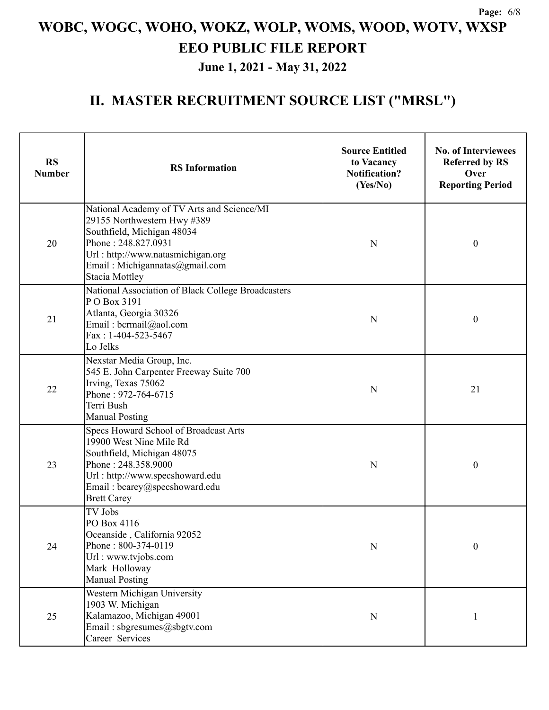**June 1, 2021 - May 31, 2022**

| <b>RS</b><br><b>Number</b>                                                                                                                                      | <b>RS</b> Information                                                                                                                                                                                                          | <b>Source Entitled</b><br>to Vacancy<br><b>Notification?</b><br>(Yes/No) | <b>No. of Interviewees</b><br><b>Referred by RS</b><br>Over<br><b>Reporting Period</b> |  |
|-----------------------------------------------------------------------------------------------------------------------------------------------------------------|--------------------------------------------------------------------------------------------------------------------------------------------------------------------------------------------------------------------------------|--------------------------------------------------------------------------|----------------------------------------------------------------------------------------|--|
| 20                                                                                                                                                              | National Academy of TV Arts and Science/MI<br>29155 Northwestern Hwy #389<br>Southfield, Michigan 48034<br>Phone: 248.827.0931<br>Url: http://www.natasmichigan.org<br>Email: Michigannatas@gmail.com<br><b>Stacia Mottley</b> | N                                                                        | $\boldsymbol{0}$                                                                       |  |
| 21                                                                                                                                                              | National Association of Black College Broadcasters<br>PO Box 3191<br>Atlanta, Georgia 30326<br>Email: bcrmail@aol.com<br>$Fax: 1-404-523-5467$<br>Lo Jelks                                                                     | N                                                                        | $\boldsymbol{0}$                                                                       |  |
| Nexstar Media Group, Inc.<br>545 E. John Carpenter Freeway Suite 700<br>Irving, Texas 75062<br>22<br>Phone: 972-764-6715<br>Terri Bush<br><b>Manual Posting</b> |                                                                                                                                                                                                                                | N                                                                        | 21                                                                                     |  |
| 23                                                                                                                                                              | Specs Howard School of Broadcast Arts<br>19900 West Nine Mile Rd<br>Southfield, Michigan 48075<br>Phone: 248.358.9000<br>Url: http://www.specshoward.edu<br>Email: bcarey@specshoward.edu<br><b>Brett Carey</b>                | N                                                                        | $\boldsymbol{0}$                                                                       |  |
| 24                                                                                                                                                              | <b>TV Jobs</b><br>PO Box 4116<br>Oceanside, California 92052<br>Phone: 800-374-0119<br>Url: www.tvjobs.com<br>Mark Holloway<br><b>Manual Posting</b>                                                                           | N                                                                        | $\boldsymbol{0}$                                                                       |  |
| 25                                                                                                                                                              | Western Michigan University<br>1903 W. Michigan<br>Kalamazoo, Michigan 49001<br>Email: sbgresumes@sbgtv.com<br>Career Services                                                                                                 | N                                                                        |                                                                                        |  |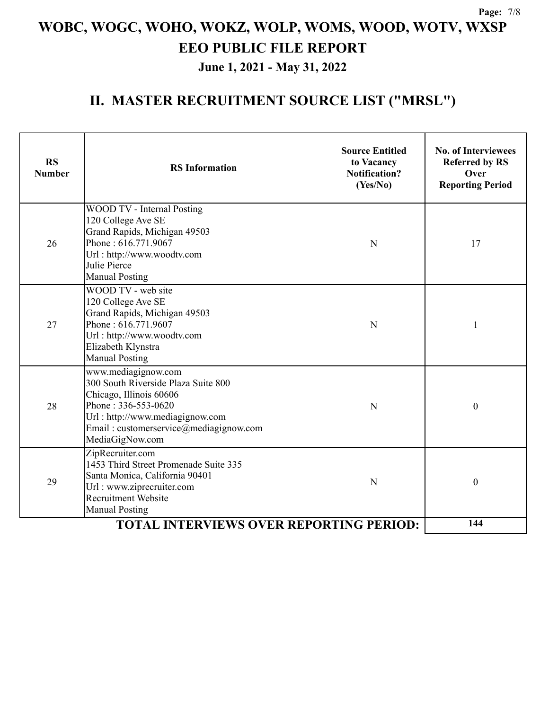**June 1, 2021 - May 31, 2022**

| <b>RS</b><br><b>Number</b>                     | <b>RS</b> Information                                                                                                                                                                                        | <b>Source Entitled</b><br>to Vacancy<br><b>Notification?</b><br>(Yes/No) | <b>No. of Interviewees</b><br><b>Referred by RS</b><br>Over<br><b>Reporting Period</b> |
|------------------------------------------------|--------------------------------------------------------------------------------------------------------------------------------------------------------------------------------------------------------------|--------------------------------------------------------------------------|----------------------------------------------------------------------------------------|
| 26                                             | WOOD TV - Internal Posting<br>120 College Ave SE<br>Grand Rapids, Michigan 49503<br>Phone: 616.771.9067<br>Url: http://www.woodtv.com<br>Julie Pierce<br><b>Manual Posting</b>                               | N                                                                        | 17                                                                                     |
| 27                                             | WOOD TV - web site<br>120 College Ave SE<br>Grand Rapids, Michigan 49503<br>Phone: 616.771.9607<br>Url: http://www.woodtv.com<br>Elizabeth Klynstra<br><b>Manual Posting</b>                                 | N                                                                        | 1                                                                                      |
| 28                                             | www.mediagignow.com<br>300 South Riverside Plaza Suite 800<br>Chicago, Illinois 60606<br>Phone: 336-553-0620<br>Url: http://www.mediagignow.com<br>Email: customerservice@mediagignow.com<br>MediaGigNow.com | N                                                                        | $\mathbf{0}$                                                                           |
| 29                                             | ZipRecruiter.com<br>1453 Third Street Promenade Suite 335<br>Santa Monica, California 90401<br>Url: www.ziprecruiter.com<br><b>Recruitment Website</b><br><b>Manual Posting</b>                              | N                                                                        | $\boldsymbol{0}$                                                                       |
| <b>TOTAL INTERVIEWS OVER REPORTING PERIOD:</b> |                                                                                                                                                                                                              |                                                                          | 144                                                                                    |